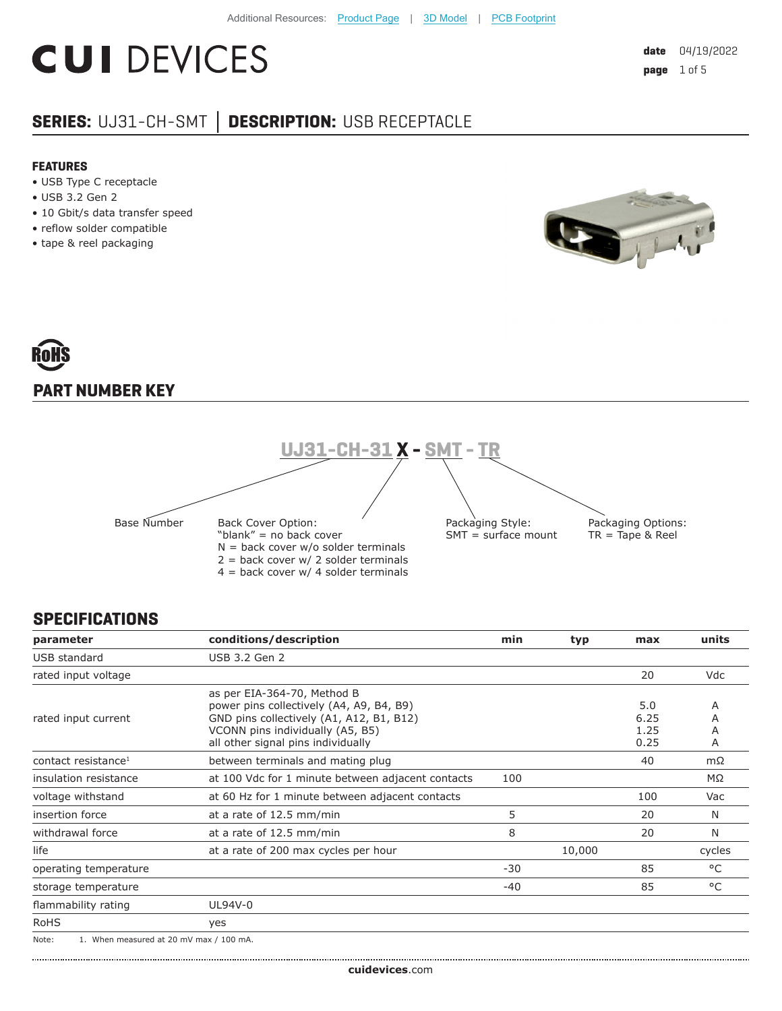# **CUI DEVICES**

### **SERIES:** UJ31-CH-SMT **│ DESCRIPTION:** USB RECEPTACLE

#### **FEATURES**

- USB Type C receptacle
- USB 3.2 Gen 2
- 10 Gbit/s data transfer speed
- reflow solder compatible
- tape & reel packaging





#### **SPECIFICATIONS**

| parameter                                        | conditions/description                                                                                                                                                                        | min   | typ    | max                         | units            |
|--------------------------------------------------|-----------------------------------------------------------------------------------------------------------------------------------------------------------------------------------------------|-------|--------|-----------------------------|------------------|
| USB standard                                     | USB 3.2 Gen 2                                                                                                                                                                                 |       |        |                             |                  |
| rated input voltage                              |                                                                                                                                                                                               |       |        | 20                          | <b>Vdc</b>       |
| rated input current                              | as per EIA-364-70, Method B<br>power pins collectively (A4, A9, B4, B9)<br>GND pins collectively (A1, A12, B1, B12)<br>VCONN pins individually (A5, B5)<br>all other signal pins individually |       |        | 5.0<br>6.25<br>1.25<br>0.25 | A<br>A<br>Α<br>Α |
| contact resistance <sup>1</sup>                  | between terminals and mating plug                                                                                                                                                             |       |        | 40                          | mΩ               |
| insulation resistance                            | at 100 Vdc for 1 minute between adjacent contacts                                                                                                                                             | 100   |        |                             | $M\Omega$        |
| voltage withstand                                | at 60 Hz for 1 minute between adjacent contacts                                                                                                                                               |       |        | 100                         | Vac              |
| insertion force                                  | at a rate of 12.5 mm/min                                                                                                                                                                      | 5     |        | 20                          | N                |
| withdrawal force                                 | at a rate of 12.5 mm/min                                                                                                                                                                      | 8     |        | 20                          | N                |
| life                                             | at a rate of 200 max cycles per hour                                                                                                                                                          |       | 10,000 |                             | cycles           |
| operating temperature                            |                                                                                                                                                                                               | $-30$ |        | 85                          | $^{\circ}$ C     |
| storage temperature                              |                                                                                                                                                                                               | $-40$ |        | 85                          | $^{\circ}$ C     |
| flammability rating                              | UL94V-0                                                                                                                                                                                       |       |        |                             |                  |
| <b>RoHS</b>                                      | yes                                                                                                                                                                                           |       |        |                             |                  |
| Note:<br>1. When measured at 20 mV max / 100 mA. |                                                                                                                                                                                               |       |        |                             |                  |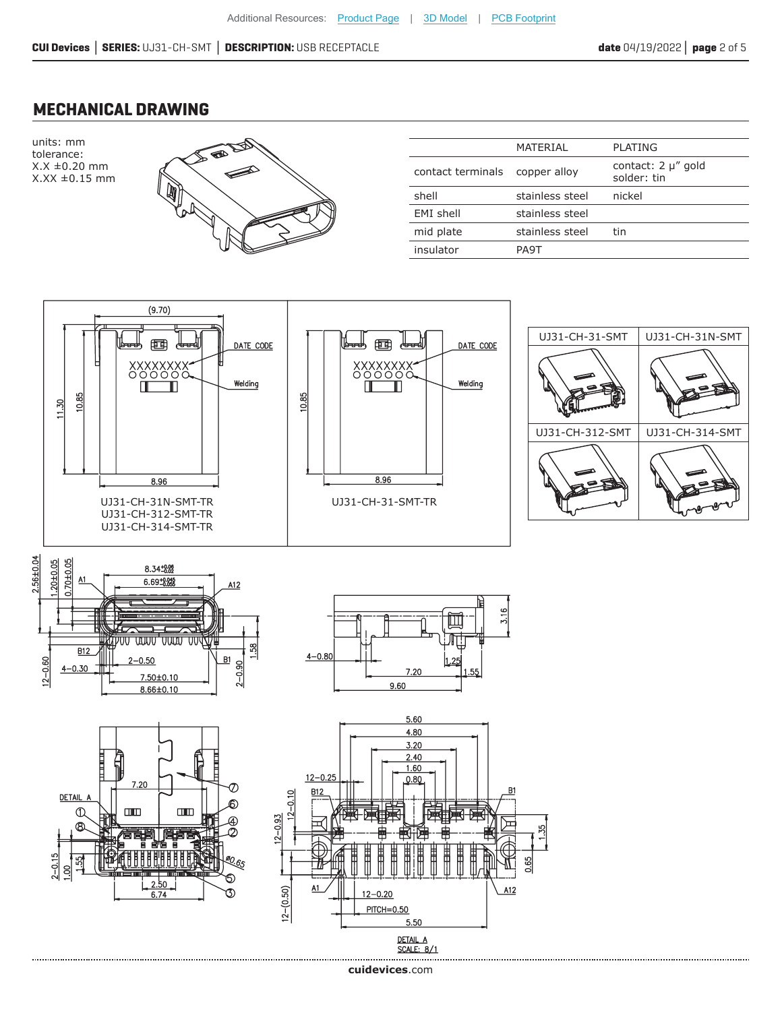#### **MECHANICAL DRAWING**

units: mm tolerance: X.X ±0.20 mm X.XX ±0.15 mm



|                   | MATERIAL        | PLATING                           |
|-------------------|-----------------|-----------------------------------|
| contact terminals | copper alloy    | contact: 2 µ" gold<br>solder: tin |
| shell             | stainless steel | nickel                            |
| EMI shell         | stainless steel |                                   |
| mid plate         | stainless steel | tin                               |
| insulator         | PA9T            |                                   |





..............................

 $8.66 \pm 0.10$ 



**cui[devices](https://www.cuidevices.com/track?actionLabel=Datasheet-ClickThrough-HomePage&label=UJ31-CH-SMT.pdf&path=/)**.com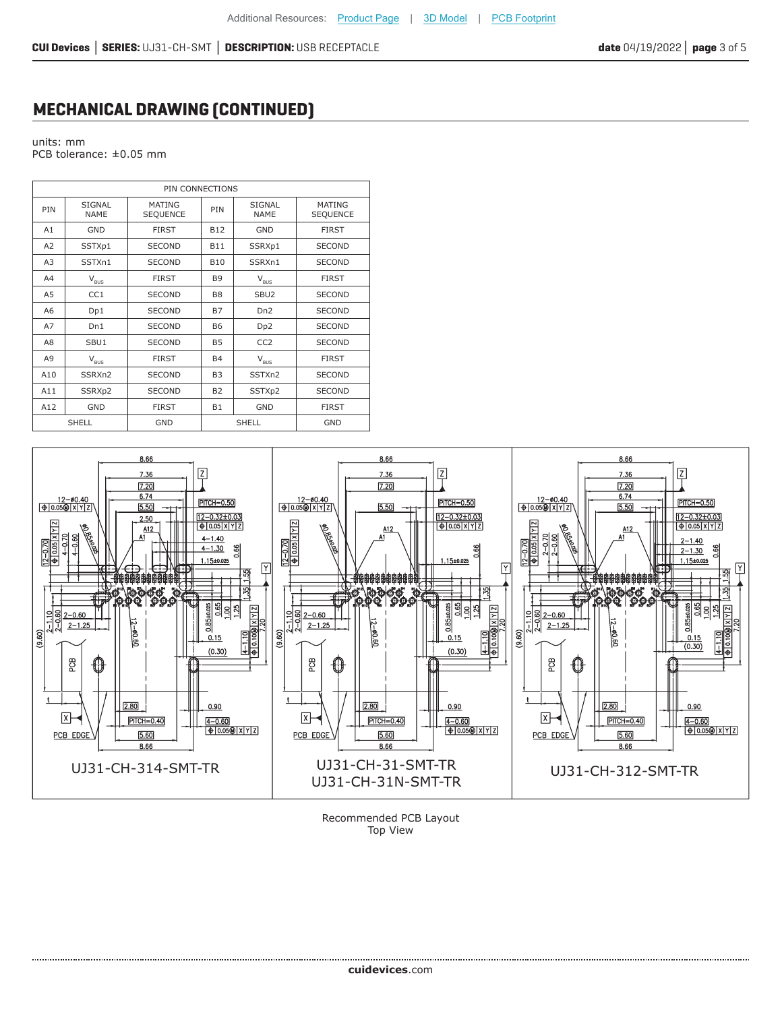#### **MECHANICAL DRAWING (CONTINUED)**

units: mm PCB tolerance: ±0.05 mm

....................................

| PIN CONNECTIONS |                                                                       |                                  |                |                                                                       |                                  |
|-----------------|-----------------------------------------------------------------------|----------------------------------|----------------|-----------------------------------------------------------------------|----------------------------------|
| <b>PIN</b>      | <b>SIGNAL</b><br><b>NAME</b>                                          | <b>MATING</b><br><b>SEQUENCE</b> | PIN            | SIGNAL<br><b>NAME</b>                                                 | <b>MATING</b><br><b>SEQUENCE</b> |
| A1              | <b>GND</b>                                                            | <b>FIRST</b>                     | <b>B12</b>     | <b>GND</b>                                                            | <b>FIRST</b>                     |
| A2              | SSTXp1                                                                | <b>SECOND</b>                    | <b>B11</b>     | SSRXp1                                                                | <b>SECOND</b>                    |
| A <sub>3</sub>  | SSTXn1                                                                | <b>SECOND</b>                    | <b>B10</b>     | SSRXn1                                                                | <b>SECOND</b>                    |
| A4              | $\mathsf{V}_{\mathsf{BUS}}$                                           | <b>FIRST</b>                     | <b>B9</b>      | $V_{\text{BUS}}$                                                      | <b>FIRST</b>                     |
| A5              | CC1                                                                   | <b>SECOND</b>                    | B <sub>8</sub> | SBU <sub>2</sub>                                                      | <b>SECOND</b>                    |
| A6              | Dp1                                                                   | <b>SECOND</b>                    | <b>B7</b>      | Dn <sub>2</sub>                                                       | <b>SECOND</b>                    |
| A7              | Dn1                                                                   | <b>SECOND</b>                    | <b>B6</b>      | Dp <sub>2</sub>                                                       | <b>SECOND</b>                    |
| A8              | SBU1                                                                  | <b>SECOND</b>                    | <b>B5</b>      | CC <sub>2</sub>                                                       | <b>SECOND</b>                    |
| A9              | $\mathsf{V}_{\mathsf{B}\underline{\mathsf{U}}\underline{\mathsf{S}}}$ | <b>FIRST</b>                     | <b>B4</b>      | $\mathsf{V}_{\mathsf{B}\underline{\mathsf{U}}\underline{\mathsf{S}}}$ | <b>FIRST</b>                     |
| A10             | SSRXn2                                                                | <b>SECOND</b>                    | <b>B3</b>      | SSTXn2                                                                | <b>SECOND</b>                    |
| A11             | SSRXp2                                                                | <b>SECOND</b>                    | <b>B2</b>      | SSTXp2                                                                | <b>SECOND</b>                    |
| A12             | <b>GND</b>                                                            | <b>FIRST</b>                     | <b>B1</b>      | <b>GND</b>                                                            | <b>FIRST</b>                     |
|                 | <b>SHELL</b>                                                          | <b>GND</b>                       |                | <b>SHELL</b>                                                          | <b>GND</b>                       |



Recommended PCB Layout Top View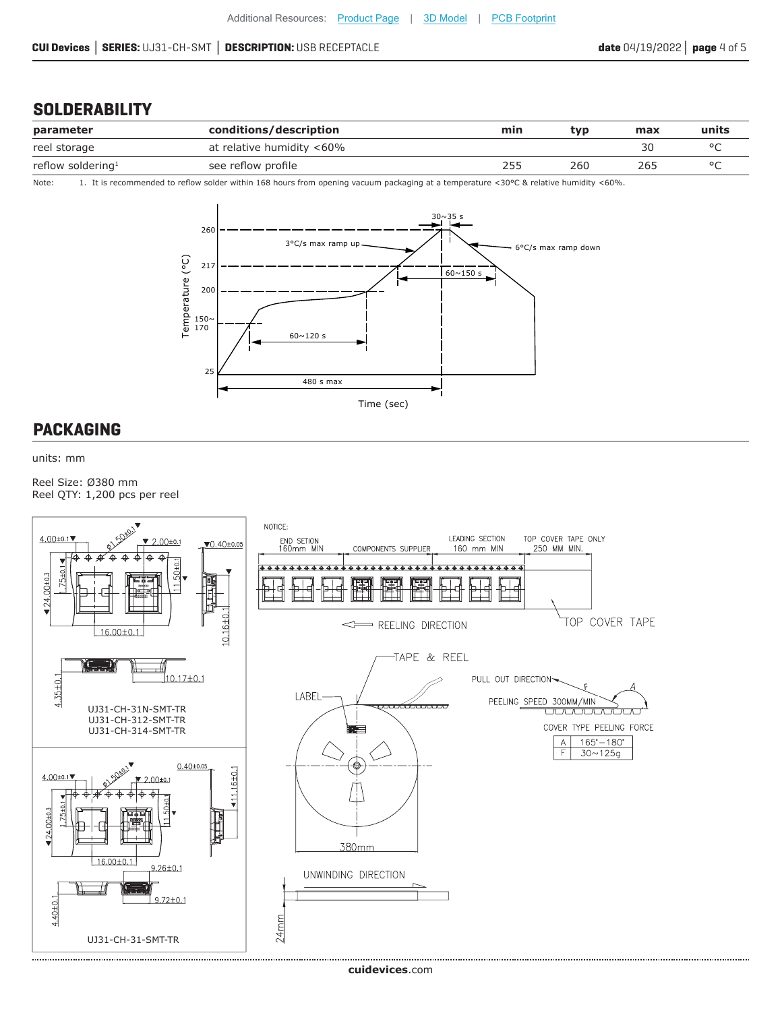#### **SOLDERABILITY**

| parameter                     | conditions/description    | min | *vp | max | units   |
|-------------------------------|---------------------------|-----|-----|-----|---------|
| reel storage                  | at relative humidity <60% |     |     |     |         |
| reflow soldering <sup>1</sup> | see reflow profile        | 255 | 260 | 265 | $\circ$ |

Note: 1. It is recommended to reflow solder within 168 hours from opening vacuum packaging at a temperature <30°C & relative humidity <60%.



#### **PACKAGING**

units: mm

Reel Size: Ø380 mm Reel QTY: 1,200 pcs per reel